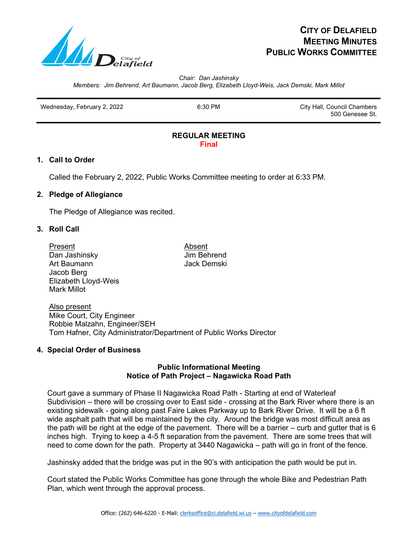

# **CITY OF DELAFIELD MEETING MINUTES PUBLIC WORKS COMMITTEE**

*Chair: Dan Jashinsky Members: Jim Behrend, Art Baumann, Jacob Berg, Elizabeth Lloyd-Weis, Jack Demski, Mark Millot*

Wednesday, February 2, 2022 **6:30 PM** 6:30 PM City Hall, Council Chambers

500 Genesee St.

### **REGULAR MEETING Final**

# **1. Call to Order**

Called the February 2, 2022, Public Works Committee meeting to order at 6:33 PM.

# **2. Pledge of Allegiance**

The Pledge of Allegiance was recited.

# **3. Roll Call**

Present Absent Dan Jashinsky Jim Behrend Art Baumann **Jack Demski** Jacob Berg Elizabeth Lloyd-Weis Mark Millot

Also present Mike Court, City Engineer Robbie Malzahn, Engineer/SEH Tom Hafner, City Administrator/Department of Public Works Director

# **4. Special Order of Business**

# **Public Informational Meeting Notice of Path Project – Nagawicka Road Path**

Court gave a summary of Phase II Nagawicka Road Path - Starting at end of Waterleaf Subdivision – there will be crossing over to East side - crossing at the Bark River where there is an existing sidewalk - going along past Faire Lakes Parkway up to Bark River Drive. It will be a 6 ft wide asphalt path that will be maintained by the city. Around the bridge was most difficult area as the path will be right at the edge of the pavement. There will be a barrier – curb and gutter that is 6 inches high. Trying to keep a 4-5 ft separation from the pavement. There are some trees that will need to come down for the path. Property at 3440 Nagawicka – path will go in front of the fence.

Jashinsky added that the bridge was put in the 90's with anticipation the path would be put in.

 Court stated the Public Works Committee has gone through the whole Bike and Pedestrian Path Plan, which went through the approval process.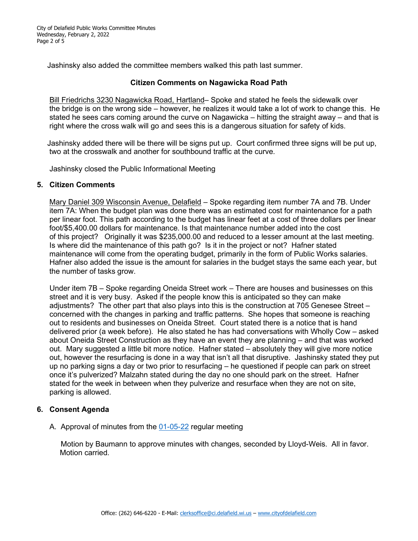City of Delafield Public Works Committee Minutes Wednesday, February 2, 2022 Page 2 of 5

Jashinsky also added the committee members walked this path last summer.

#### **Citizen Comments on Nagawicka Road Path**

 Bill Friedrichs 3230 Nagawicka Road, Hartland– Spoke and stated he feels the sidewalk over the bridge is on the wrong side – however, he realizes it would take a lot of work to change this. He stated he sees cars coming around the curve on Nagawicka – hitting the straight away – and that is right where the cross walk will go and sees this is a dangerous situation for safety of kids.

 Jashinsky added there will be there will be signs put up. Court confirmed three signs will be put up, two at the crosswalk and another for southbound traffic at the curve.

Jashinsky closed the Public Informational Meeting

#### **5. Citizen Comments**

Mary Daniel 309 Wisconsin Avenue, Delafield – Spoke regarding item number 7A and 7B. Under item 7A: When the budget plan was done there was an estimated cost for maintenance for a path per linear foot. This path according to the budget has linear feet at a cost of three dollars per linear foot/\$5,400.00 dollars for maintenance. Is that maintenance number added into the cost of this project? Originally it was \$235,000.00 and reduced to a lesser amount at the last meeting. Is where did the maintenance of this path go? Is it in the project or not? Hafner stated maintenance will come from the operating budget, primarily in the form of Public Works salaries. Hafner also added the issue is the amount for salaries in the budget stays the same each year, but the number of tasks grow.

 Under item 7B – Spoke regarding Oneida Street work – There are houses and businesses on this street and it is very busy. Asked if the people know this is anticipated so they can make adjustments? The other part that also plays into this is the construction at 705 Genesee Street – concerned with the changes in parking and traffic patterns. She hopes that someone is reaching out to residents and businesses on Oneida Street. Court stated there is a notice that is hand delivered prior (a week before). He also stated he has had conversations with Wholly Cow – asked about Oneida Street Construction as they have an event they are planning – and that was worked out. Mary suggested a little bit more notice. Hafner stated – absolutely they will give more notice out, however the resurfacing is done in a way that isn't all that disruptive. Jashinsky stated they put up no parking signs a day or two prior to resurfacing – he questioned if people can park on street once it's pulverized? Malzahn stated during the day no one should park on the street. Hafner stated for the week in between when they pulverize and resurface when they are not on site, parking is allowed.

### **6. Consent Agenda**

A. Approval of minutes from the 01-05-22 regular meeting

 Motion by Baumann to approve minutes with changes, seconded by Lloyd-Weis. All in favor. Motion carried.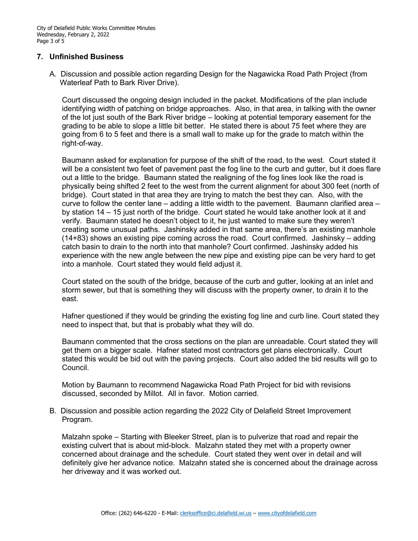### **7. Unfinished Business**

 A. Discussion and possible action regarding Design for the Nagawicka Road Path Project (from Waterleaf Path to Bark River Drive).

 Court discussed the ongoing design included in the packet. Modifications of the plan include identifying width of patching on bridge approaches. Also, in that area, in talking with the owner of the lot just south of the Bark River bridge – looking at potential temporary easement for the grading to be able to slope a little bit better. He stated there is about 75 feet where they are going from 6 to 5 feet and there is a small wall to make up for the grade to match within the right-of-way.

 Baumann asked for explanation for purpose of the shift of the road, to the west. Court stated it will be a consistent two feet of pavement past the fog line to the curb and gutter, but it does flare out a little to the bridge. Baumann stated the realigning of the fog lines look like the road is physically being shifted 2 feet to the west from the current alignment for about 300 feet (north of bridge). Court stated in that area they are trying to match the best they can. Also, with the curve to follow the center lane – adding a little width to the pavement. Baumann clarified area – by station 14 – 15 just north of the bridge. Court stated he would take another look at it and verify. Baumann stated he doesn't object to it, he just wanted to make sure they weren't creating some unusual paths. Jashinsky added in that same area, there's an existing manhole (14+83) shows an existing pipe coming across the road. Court confirmed. Jashinsky – adding catch basin to drain to the north into that manhole? Court confirmed. Jashinsky added his experience with the new angle between the new pipe and existing pipe can be very hard to get into a manhole. Court stated they would field adjust it.

 Court stated on the south of the bridge, because of the curb and gutter, looking at an inlet and storm sewer, but that is something they will discuss with the property owner, to drain it to the east.

 Hafner questioned if they would be grinding the existing fog line and curb line. Court stated they need to inspect that, but that is probably what they will do.

 Baumann commented that the cross sections on the plan are unreadable. Court stated they will get them on a bigger scale. Hafner stated most contractors get plans electronically. Court stated this would be bid out with the paving projects. Court also added the bid results will go to Council.

 Motion by Baumann to recommend Nagawicka Road Path Project for bid with revisions discussed, seconded by Millot. All in favor. Motion carried.

 B. Discussion and possible action regarding the 2022 City of Delafield Street Improvement Program.

 Malzahn spoke – Starting with Bleeker Street, plan is to pulverize that road and repair the existing culvert that is about mid-block. Malzahn stated they met with a property owner concerned about drainage and the schedule. Court stated they went over in detail and will definitely give her advance notice. Malzahn stated she is concerned about the drainage across her driveway and it was worked out.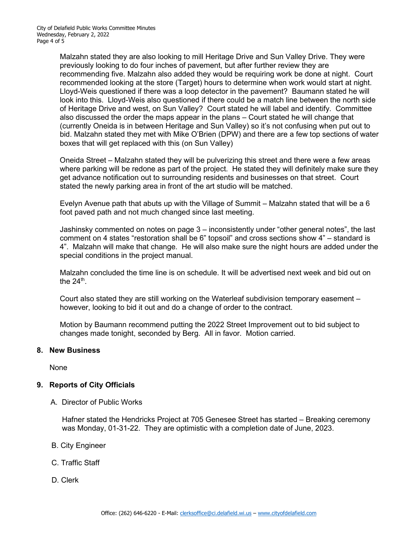Malzahn stated they are also looking to mill Heritage Drive and Sun Valley Drive. They were previously looking to do four inches of pavement, but after further review they are recommending five. Malzahn also added they would be requiring work be done at night. Court recommended looking at the store (Target) hours to determine when work would start at night. Lloyd-Weis questioned if there was a loop detector in the pavement? Baumann stated he will look into this. Lloyd-Weis also questioned if there could be a match line between the north side of Heritage Drive and west, on Sun Valley? Court stated he will label and identify. Committee also discussed the order the maps appear in the plans – Court stated he will change that (currently Oneida is in between Heritage and Sun Valley) so it's not confusing when put out to bid. Malzahn stated they met with Mike O'Brien (DPW) and there are a few top sections of water boxes that will get replaced with this (on Sun Valley)

 Oneida Street – Malzahn stated they will be pulverizing this street and there were a few areas where parking will be redone as part of the project. He stated they will definitely make sure they get advance notification out to surrounding residents and businesses on that street. Court stated the newly parking area in front of the art studio will be matched.

 Evelyn Avenue path that abuts up with the Village of Summit – Malzahn stated that will be a 6 foot paved path and not much changed since last meeting.

 Jashinsky commented on notes on page 3 – inconsistently under "other general notes", the last comment on 4 states "restoration shall be 6" topsoil" and cross sections show 4" – standard is 4". Malzahn will make that change. He will also make sure the night hours are added under the special conditions in the project manual.

 Malzahn concluded the time line is on schedule. It will be advertised next week and bid out on the  $24<sup>th</sup>$ .

 Court also stated they are still working on the Waterleaf subdivision temporary easement – however, looking to bid it out and do a change of order to the contract.

 Motion by Baumann recommend putting the 2022 Street Improvement out to bid subject to changes made tonight, seconded by Berg. All in favor. Motion carried.

### **8. New Business**

None

### **9. Reports of City Officials**

A. Director of Public Works

 Hafner stated the Hendricks Project at 705 Genesee Street has started – Breaking ceremony was Monday, 01-31-22. They are optimistic with a completion date of June, 2023.

- B. City Engineer
- C. Traffic Staff
- D. Clerk